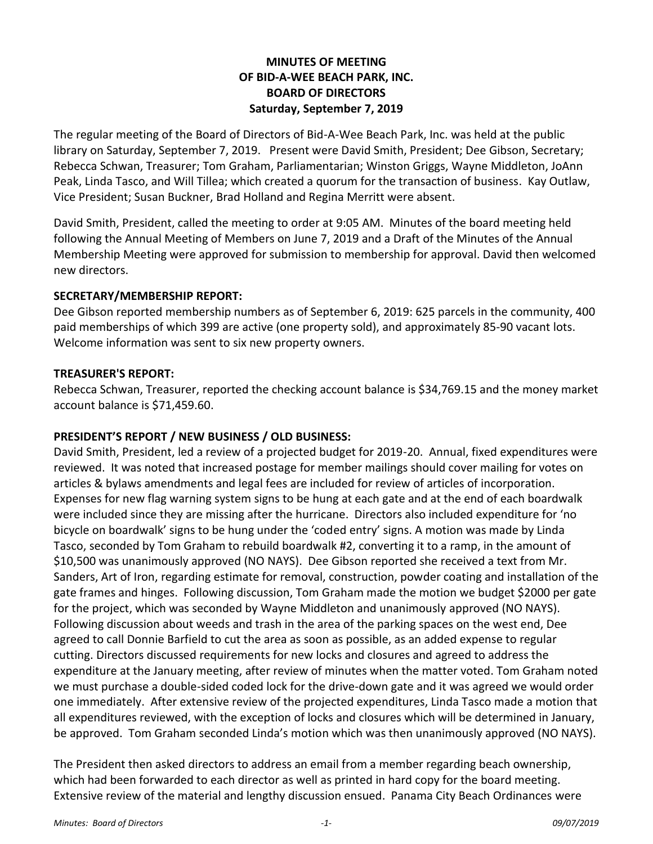## **MINUTES OF MEETING OF BID-A-WEE BEACH PARK, INC. BOARD OF DIRECTORS Saturday, September 7, 2019**

The regular meeting of the Board of Directors of Bid-A-Wee Beach Park, Inc. was held at the public library on Saturday, September 7, 2019. Present were David Smith, President; Dee Gibson, Secretary; Rebecca Schwan, Treasurer; Tom Graham, Parliamentarian; Winston Griggs, Wayne Middleton, JoAnn Peak, Linda Tasco, and Will Tillea; which created a quorum for the transaction of business. Kay Outlaw, Vice President; Susan Buckner, Brad Holland and Regina Merritt were absent.

David Smith, President, called the meeting to order at 9:05 AM. Minutes of the board meeting held following the Annual Meeting of Members on June 7, 2019 and a Draft of the Minutes of the Annual Membership Meeting were approved for submission to membership for approval. David then welcomed new directors.

## **SECRETARY/MEMBERSHIP REPORT:**

Dee Gibson reported membership numbers as of September 6, 2019: 625 parcels in the community, 400 paid memberships of which 399 are active (one property sold), and approximately 85-90 vacant lots. Welcome information was sent to six new property owners.

## **TREASURER'S REPORT:**

Rebecca Schwan, Treasurer, reported the checking account balance is \$34,769.15 and the money market account balance is \$71,459.60.

## **PRESIDENT'S REPORT / NEW BUSINESS / OLD BUSINESS:**

David Smith, President, led a review of a projected budget for 2019-20. Annual, fixed expenditures were reviewed. It was noted that increased postage for member mailings should cover mailing for votes on articles & bylaws amendments and legal fees are included for review of articles of incorporation. Expenses for new flag warning system signs to be hung at each gate and at the end of each boardwalk were included since they are missing after the hurricane. Directors also included expenditure for 'no bicycle on boardwalk' signs to be hung under the 'coded entry' signs. A motion was made by Linda Tasco, seconded by Tom Graham to rebuild boardwalk #2, converting it to a ramp, in the amount of \$10,500 was unanimously approved (NO NAYS). Dee Gibson reported she received a text from Mr. Sanders, Art of Iron, regarding estimate for removal, construction, powder coating and installation of the gate frames and hinges. Following discussion, Tom Graham made the motion we budget \$2000 per gate for the project, which was seconded by Wayne Middleton and unanimously approved (NO NAYS). Following discussion about weeds and trash in the area of the parking spaces on the west end, Dee agreed to call Donnie Barfield to cut the area as soon as possible, as an added expense to regular cutting. Directors discussed requirements for new locks and closures and agreed to address the expenditure at the January meeting, after review of minutes when the matter voted. Tom Graham noted we must purchase a double-sided coded lock for the drive-down gate and it was agreed we would order one immediately. After extensive review of the projected expenditures, Linda Tasco made a motion that all expenditures reviewed, with the exception of locks and closures which will be determined in January, be approved. Tom Graham seconded Linda's motion which was then unanimously approved (NO NAYS).

The President then asked directors to address an email from a member regarding beach ownership, which had been forwarded to each director as well as printed in hard copy for the board meeting. Extensive review of the material and lengthy discussion ensued. Panama City Beach Ordinances were